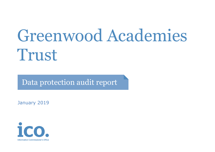# Greenwood Academies Trust

Data protection audit report

January 2019

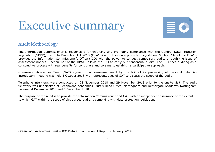## Executive summary



#### Audit Methodology

The Information Commissioner is responsible for enforcing and promoting compliance with the General Data Protection Regulation (GDPR), the Data Protection Act 2018 (DPA18) and other data protection legislation. Section 146 of the DPA18 provides the Information Commissioner's Office (ICO) with the power to conduct compulsory audits through the issue of assessment notices. Section 129 of the DPA18 allows the ICO to carry out consensual audits. The ICO sees auditing as a constructive process with real benefits for controllers and so aims to establish a participative approach.

Greenwood Academies Trust (GAT) agreed to a consensual audit by the ICO of its processing of personal data. An introductory meeting was held 5 October 2018 with representatives of GAT to discuss the scope of the audit.

Telephone interviews were conducted on 28 November 2018 and 29 November 2018 prior to the onsite visit. The audit fieldwork was undertaken at Greenwood Academies Trust's Head Office, Nottingham and Nethergate Academy, Nottingham between 4 December 2018 and 5 December 2018.

The purpose of the audit is to provide the Information Commissioner and GAT with an independent assurance of the extent to which GAT within the scope of this agreed audit, is complying with data protection legislation.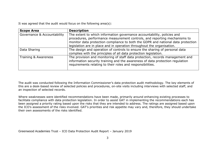It was agreed that the audit would focus on the following area(s):

| <b>Scope Area</b>           | <b>Description</b>                                                                                                                                                                                                                                                                                                 |
|-----------------------------|--------------------------------------------------------------------------------------------------------------------------------------------------------------------------------------------------------------------------------------------------------------------------------------------------------------------|
| Governance & Accountability | The extent to which information governance accountability, policies and<br>procedures, performance measurement controls, and reporting mechanisms to<br>monitor data protection compliance to both the GDPR and national data protection<br>legislation are in place and in operation throughout the organisation. |
| Data Sharing                | The design and operation of controls to ensure the sharing of personal data<br>complies with the principles of all data protection legislation.                                                                                                                                                                    |
| Training & Awareness        | The provision and monitoring of staff data protection, records management and<br>information security training and the awareness of data protection regulation<br>requirements relating to their roles and responsibilities.                                                                                       |

The audit was conducted following the Information Commissioner's data protection audit methodology. The key elements of this are a desk-based review of selected policies and procedures, on-site visits including interviews with selected staff, and an inspection of selected records.

Where weaknesses were identified recommendations have been made, primarily around enhancing existing processes to facilitate compliance with data protection legislation. In order to assist GAT in implementing the recommendations each has been assigned a priority rating based upon the risks that they are intended to address. The ratings are assigned based upon the ICO's assessment of the risks involved. GAT's priorities and risk appetite may vary and, therefore, they should undertake their own assessments of the risks identified.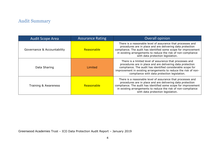### Audit Summary

| <b>Audit Scope Area</b>     | <b>Assurance Rating</b> | Overall opinion                                                                                                                                                                                                                                                                                          |
|-----------------------------|-------------------------|----------------------------------------------------------------------------------------------------------------------------------------------------------------------------------------------------------------------------------------------------------------------------------------------------------|
| Governance & Accountability | Reasonable              | There is a reasonable level of assurance that processes and<br>procedures are in place and are delivering data protection<br>compliance. The audit has identified some scope for improvement<br>in existing arrangements to reduce the risk of non-compliance<br>with data protection legislation.       |
| Data Sharing                | Limited                 | There is a limited level of assurance that processes and<br>procedures are in place and are delivering data protection<br>compliance. The audit has identified considerable scope for<br>improvement in existing arrangements to reduce the risk of non-<br>compliance with data protection legislation. |
| Training & Awareness        | Reasonable              | There is a reasonable level of assurance that processes and<br>procedures are in place and are delivering data protection<br>compliance. The audit has identified some scope for improvement<br>in existing arrangements to reduce the risk of non-compliance<br>with data protection legislation.       |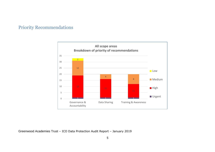#### Priority Recommendations

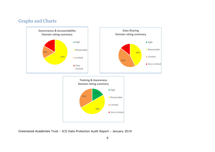#### Graphs and Charts

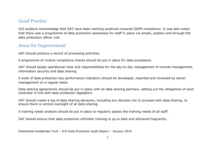#### Good Practice

ICO auditors acknowledge that GAT have been working positively towards GDPR compliance. It was also noted that there was a programme of data protection awareness for staff in place via emails, posters and through the data protection officer role.

#### Areas for Improvement

GAT should produce a record of processing activities.

A programme of routine compliance checks should be put in place for data processors.

GAT should assign operational roles and responsibilities for the day to day management of records management, information security and data sharing.

A suite of data protection key performance indicators should be developed, reported and reviewed by senior management on a regular basis.

Data sharing agreements should be put in place with all data sharing partners, setting out the obligations of each controller in line with data protection legislation.

GAT should create a log of data sharing decisions, including any decision not to proceed with data sharing, to ensure there is central oversight of all data sharing.

A training needs analysis should be put in place to regularly assess the training needs of all staff.

GAT should ensure that data protection refresher training is up to date and delivered frequently.